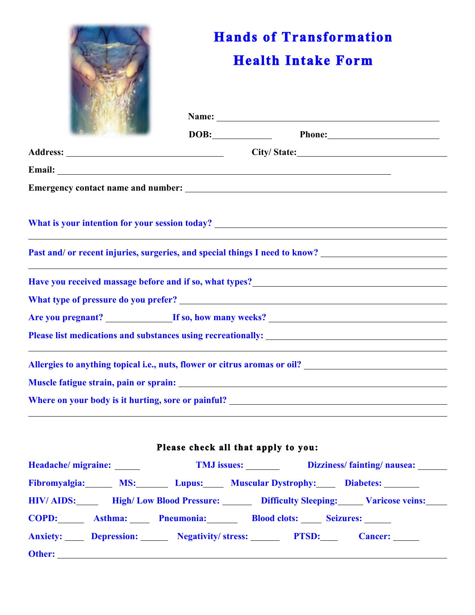|                                                                                                                                                                                                                                                                                                                                                                                                                         | <b>Hands of Transformation</b><br><b>Health Intake Form</b> |                                     |                                                                                                                                                                                                                               |  |
|-------------------------------------------------------------------------------------------------------------------------------------------------------------------------------------------------------------------------------------------------------------------------------------------------------------------------------------------------------------------------------------------------------------------------|-------------------------------------------------------------|-------------------------------------|-------------------------------------------------------------------------------------------------------------------------------------------------------------------------------------------------------------------------------|--|
|                                                                                                                                                                                                                                                                                                                                                                                                                         |                                                             |                                     | Name: Name and the second contract of the second contract of the second contract of the second contract of the second contract of the second contract of the second contract of the second contract of the second contract of |  |
|                                                                                                                                                                                                                                                                                                                                                                                                                         |                                                             | DOB:                                |                                                                                                                                                                                                                               |  |
|                                                                                                                                                                                                                                                                                                                                                                                                                         |                                                             |                                     |                                                                                                                                                                                                                               |  |
|                                                                                                                                                                                                                                                                                                                                                                                                                         |                                                             |                                     |                                                                                                                                                                                                                               |  |
|                                                                                                                                                                                                                                                                                                                                                                                                                         |                                                             |                                     |                                                                                                                                                                                                                               |  |
| What is your intention for your session today?<br><u> and the contract of the contract of the contract of the contract of the contract of the contract of the contract of the contract of the contract of the contract of the cont</u><br>Past and/or recent injuries, surgeries, and special things I need to know? ___________________________________<br><u> 1989 - Johann Stoff, amerikansk politiker (d. 1989)</u> |                                                             |                                     |                                                                                                                                                                                                                               |  |
| Have you received massage before and if so, what types?<br><u>Example 2008</u>                                                                                                                                                                                                                                                                                                                                          |                                                             |                                     |                                                                                                                                                                                                                               |  |
|                                                                                                                                                                                                                                                                                                                                                                                                                         |                                                             |                                     |                                                                                                                                                                                                                               |  |
|                                                                                                                                                                                                                                                                                                                                                                                                                         |                                                             |                                     |                                                                                                                                                                                                                               |  |
|                                                                                                                                                                                                                                                                                                                                                                                                                         |                                                             |                                     |                                                                                                                                                                                                                               |  |
| Allergies to anything topical i.e., nuts, flower or citrus aromas or oil?                                                                                                                                                                                                                                                                                                                                               |                                                             |                                     |                                                                                                                                                                                                                               |  |
|                                                                                                                                                                                                                                                                                                                                                                                                                         |                                                             |                                     |                                                                                                                                                                                                                               |  |
|                                                                                                                                                                                                                                                                                                                                                                                                                         |                                                             |                                     |                                                                                                                                                                                                                               |  |
|                                                                                                                                                                                                                                                                                                                                                                                                                         |                                                             |                                     |                                                                                                                                                                                                                               |  |
|                                                                                                                                                                                                                                                                                                                                                                                                                         |                                                             | Please check all that apply to you: |                                                                                                                                                                                                                               |  |
| Headache/ migraine:                                                                                                                                                                                                                                                                                                                                                                                                     |                                                             | TMJ issues:                         | Dizziness/fainting/nausea:                                                                                                                                                                                                    |  |

|        |                                                            | $\frac{1}{100}$ issues. Dizziness/Hinds/Hinds/Hinds/Hinds/Hinds/Hinds/Hinds/Hinds/Hinds/Hinds/Hinds/Hinds/Hinds/Hinds/Hinds/Hinds/Hinds/Hinds/Hinds/Hinds/Hinds/Hinds/Hinds/Hinds/Hinds/Hinds/Hinds/Hinds/Hinds/Hinds/Hinds/Hinds |  |
|--------|------------------------------------------------------------|-----------------------------------------------------------------------------------------------------------------------------------------------------------------------------------------------------------------------------------|--|
|        |                                                            | Fibromyalgia: MS: Lupus: Muscular Dystrophy: Diabetes:                                                                                                                                                                            |  |
|        |                                                            | HIV/AIDS: High/Low Blood Pressure: Difficulty Sleeping: Varicose veins:                                                                                                                                                           |  |
|        |                                                            | COPD: Asthma: Pneumonia: Blood clots: Seizures:                                                                                                                                                                                   |  |
|        |                                                            | <b>Anxiety:</b> Depression: Negativity/stress: PTSD: Cancer:                                                                                                                                                                      |  |
| Other: | <u> 1989 - Johann Barbara, martxa alemaniar amerikan a</u> |                                                                                                                                                                                                                                   |  |